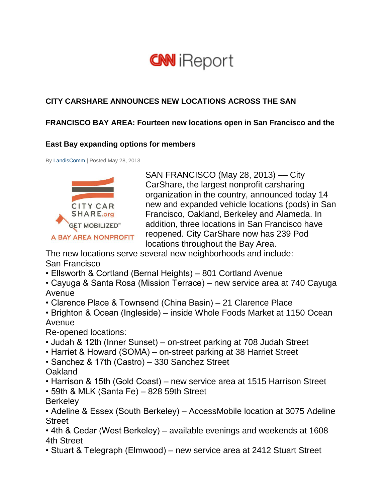# **CNN** iReport

# **CITY CARSHARE ANNOUNCES NEW LOCATIONS ACROSS THE SAN**

### **FRANCISCO BAY AREA: Fourteen new locations open in San Francisco and the**

#### **East Bay expanding options for members**

By [LandisComm](http://ireport.cnn.com/people/LandisComm) | Posted May 28, 2013



SAN FRANCISCO (May 28, 2013) –– City CarShare, the largest nonprofit carsharing organization in the country, announced today 14 new and expanded vehicle locations (pods) in San Francisco, Oakland, Berkeley and Alameda. In addition, three locations in San Francisco have reopened. City CarShare now has 239 Pod locations throughout the Bay Area.

The new locations serve several new neighborhoods and include: San Francisco

- Ellsworth & Cortland (Bernal Heights) 801 Cortland Avenue
- Cayuga & Santa Rosa (Mission Terrace) new service area at 740 Cayuga Avenue
- Clarence Place & Townsend (China Basin) 21 Clarence Place
- Brighton & Ocean (Ingleside) inside Whole Foods Market at 1150 Ocean Avenue

Re-opened locations:

- Judah & 12th (Inner Sunset) on-street parking at 708 Judah Street
- Harriet & Howard (SOMA) on-street parking at 38 Harriet Street
- Sanchez & 17th (Castro) 330 Sanchez Street Oakland
- Harrison & 15th (Gold Coast) new service area at 1515 Harrison Street
- 59th & MLK (Santa Fe) 828 59th Street
- **Berkeley**

• Adeline & Essex (South Berkeley) – AccessMobile location at 3075 Adeline Street

• 4th & Cedar (West Berkeley) – available evenings and weekends at 1608 4th Street

• Stuart & Telegraph (Elmwood) – new service area at 2412 Stuart Street